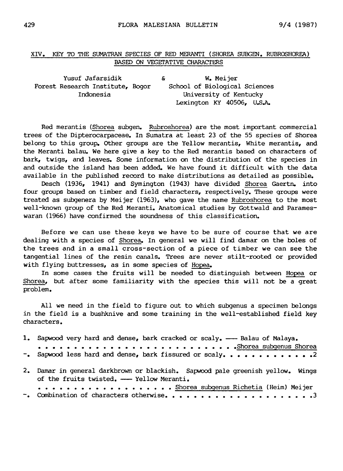## XIV. Key to the Sumatran species of Red Meranti (Shorea subgen. Rubroshorea) based on vegetative characters

Yusuf Jafarsidik Forest Research Institute, Bogor Indonesia & W. Meijer School of Biological Sciences University of Kentucky Lexington KY 40506, U.S.A.

Red merantis (Shorea subgen. Rubroshorea) are the most important commercial trees of the Dipterocarpaceae. In Sumatra at least <sup>23</sup> of the <sup>55</sup> species of Shorea belong to this group. Other groups are the Yellow merantis, White merantis, and the Meranti balau. We here give a key to the Red merantis based on characters of bark, twigs, and leaves. Some information on the distribution of the species in and outside the island has been added. We have found it difficult with the data available in the published record to make distributions as detailed as possible.

Desch (1936, 1941) and Symington (1943) have divided Shorea Gaertn. into four groups based on timber and field characters, respectively. These groups were treated as subgenera by Meijer (1963), who gave the name Rubroshorea to the most well-known group of the Red Meranti. Anatomical studies by Gottwald and Parameswaran (1966) have confirmed the soundness of this classification.

Before we can use these keys we have to be sure of course that we are dealing with <sup>a</sup> species of Shorea. In general we will find damar on the boles of the trees and in <sup>a</sup> small cross-section of <sup>a</sup> piece of timber we can see the tangential lines of the resin canals. Trees are never stilt-rooted or provided with flying buttresses, as in some species of Hopea.

In some cases the fruits will be needed to distinguish between Hopea or Shorea, but after some familiarity with the species this will not be <sup>a</sup> great problem.

All we need in the field to figure out to which subgenus <sup>a</sup> specimen belongs in the field is <sup>a</sup> bushknive and some training in the well-established field key characters.

| 1. Sapwood very hard and dense, bark cracked or scaly. - Balau of Malaya.                                                  |
|----------------------------------------------------------------------------------------------------------------------------|
|                                                                                                                            |
| -. Sapwood less hard and dense, bark fissured or scaly. 2                                                                  |
| 2. Damar in general darkbrown or blackish. Sapwood pale greenish yellow. Wings<br>of the fruits twisted. - Yellow Meranti. |
| . Shorea subgenus Richetia (Heim) Meijer                                                                                   |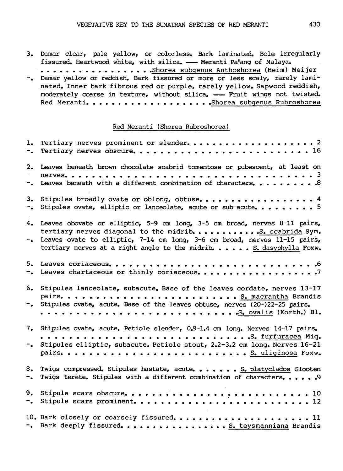3. Damar clear, pale yellow, or colorless. Bark laminated. Bole irregularly fissured. Heartwood white, with silica. - Meranti Pa'ang of Malaya.

.................Shorea subgenus Anthoshorea (Heim) Meijer -. Damar yellow or reddish. Bark fissured or more or less scaly, rarely laminated. Inner bark fibrous red or purple, rarely yellow. Sapwood reddish, moderately coarse in texture, without silica. - Fruit wings not twisted. Red Meranti !Shorea subgenus Rubroshorea

## Red Meranti (Shorea Rubroshorea)

|             | 2. Leaves beneath brown chocolate scabrid tomentose or pubescent, at least on<br>-. Leaves beneath with a different combination of characters.  3                                                                                                                                              |
|-------------|------------------------------------------------------------------------------------------------------------------------------------------------------------------------------------------------------------------------------------------------------------------------------------------------|
| 3.<br>$-$ . | Stipules ovate, elliptic or lanceolate, acute or sub-acute 5                                                                                                                                                                                                                                   |
| $\sim$      | 4. Leaves obovate or elliptic, 5-9 cm long, 3-5 cm broad, nerves 8-11 pairs,<br>tertiary nerves diagonal to the midrib.  S. scabrida Sym.<br>Leaves ovate to elliptic, 7-14 cm long, 3-6 cm broad, nerves 11-15 pairs,<br>tertiary nerves at a right angle to the midrib.  S. dasyphylla Foxw. |
|             |                                                                                                                                                                                                                                                                                                |
| 6.<br>$-$ . | Stipules lanceolate, subacute. Base of the leaves cordate, nerves 13-17<br>Stipules ovate, acute. Base of the leaves obtuse, nerves (20-)22-25 pairs.                                                                                                                                          |
| 7.          | Stipules ovate, acute. Petiole slender, 0.9-1.4 cm long. Nerves 14-17 pairs.                                                                                                                                                                                                                   |
| $\sim$ .    | Stipules elliptic, subacute. Petiole stout, 2.2-3.2 cm long. Nerves 16-21                                                                                                                                                                                                                      |
| 8.<br>$-$ . | Twigs compressed. Stipules hastate, acute. S. platyclados Slooten<br>Twigs terete. Stipules with a different combination of characters. 9                                                                                                                                                      |
| 9.<br>$ -$  |                                                                                                                                                                                                                                                                                                |
|             | 10. Bark closely or coarsely fissured11<br>-. Bark deeply fissured.  S. teysmanniana Brandis                                                                                                                                                                                                   |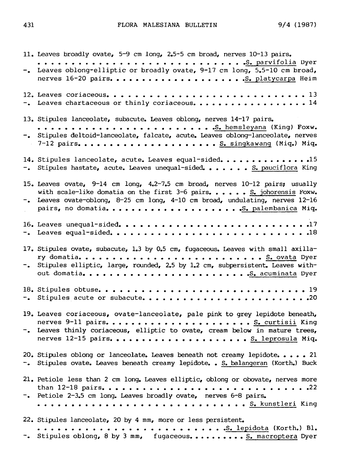11. Leaves broadly ovate, 5-9 cm long, 2.5-5 cm broad, nerves 10-13 pairs. S. parvifolia Dyer -. Leaves oblong-elliptic or broadly ovate, 9-17 cm long, 5.5-10 cm broad, nerves 16-20 pairs S. platycarpa Heim 12. Leaves coriaceous 13 -. Leaves chartaceous or thinly coriaceous...................14 13. Stipules lanceolate, subacute. Leaves oblong, nerves 14-17 pairs. S. hemsleyana (King) Foxw. -. Stipules deltoid-lanceolate, falcate, acute. Leaves oblong-lanceolate, nerves 7-12 pairs S. singkawang (Miq.) Miq. 14. Stipules lanceolate, acute. Leaves equal-sided. ....................15  $-$ . Stipules hastate, acute. Leaves unequal-sided. . . . . . S. pauciflora King 15. Leaves ovate, 9-14 cm long, 4.2-7.5 cm broad, nerves 10-12 pairs; usually with scale-like domatia on the first  $3-6$  pairs. ..... S. johorensis Foxw. Leaves ovate-oblong, 8-25 cm long, 4-10 cm broad, undulating, nerves 12-16 pairs, no domatia S. palembanica Miq. 16. Leaves unequal-sided 17 Leaves equal-sided 18 17. Stipules ovate, subacute, 1.3 by 0.5 cm, fugaceous. Leaves with small axillary domatia S. ovata Dyer -. Stipules elliptic, large, rounded, 2.5 by 1.2 cm, subpersistent. Leaves without domatia S. acuminata Dyer 18. Stipules obtuse <sup>19</sup> -. Stipules acute or subacute............................20 19. Leaves coriaceous, ovate-lanceolate, pale pink to grey lepidote beneath, nerves 9-11 pairs S. curtisii King -. Leaves thinly coriaceous, elliptic to ovate, cream below in mature trees, nerves 12-15 pairs S. leprosula Miq. 20. Stipules oblong or lanceolate. Leaves beneath not creamy lepidote. . . . . 21 Stipules ovate. Leaves beneath creamy lepidote. . <u>S. balangeran</u> (Korth.) Buck 21. Petiole less than <sup>2</sup> cm long. Leaves elliptic, oblong or obovate, nerves more than 12-18 pairs <sup>22</sup> Petiole 2-3.5 cm long. Leaves broadly ovate, nerves 6-8 pairs. S. kunstleri King 22. Stipules lanceolate, 20 by <sup>4</sup> mm, more or less persistent. S. lepidota (Korth.) Bl. -. Stipules oblong, 8 by 3 mm, fugaceous. ......... S. macroptera Dyer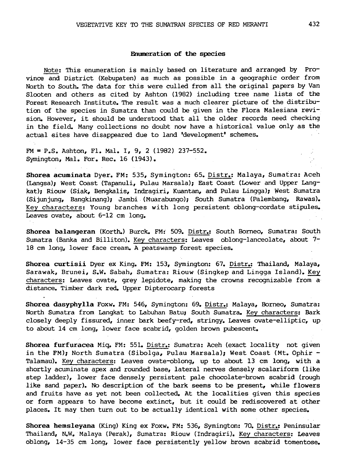## Enumeration of the species

Note; This enumeration is mainly based on literature and arranged by Province and District (Kebupaten) as much as possible in <sup>a</sup> geographic order from North to South. The data for this were culled from all the original papers by Van Slooten and others as cited by Ashton (1982) including tree name lists of the Forest Research Institute. The result was <sup>a</sup> much clearer picture of the distribution of the species in Sumatra than could be given in the Flora Malesiana revision. However, it should be understood that all the older records need checking in the field. Many collections no doubt now have <sup>a</sup> historical value only as the actual sites have disappeared due to land 'development' schemes.

FM <sup>=</sup> P.S. Ashton, Fl. Mai. I, 9, <sup>2</sup> (1982) 237-552. Symington, Mal. For. Rec. 16 (1943).

Shorea acuminata Dyer. FM: 535, Symington; 65. Distr.: Malaya, Sumatra: Aceh (Langsa); West Coast (Tapanuli, Pulau Marsala); East Coast (Lower and Upper Langkat); Riouw (Siak, Bengkalis, Indragiri, Kuantan, and Pulau Lingga); West Sumatra (Sijunjung, Bangkinang); Jambi (Muarabungo); South Sumatra (Palembang, Rawas). Key characters: Young branches with long persistent oblong-cordate stipules. Leaves ovate, about 6-12 cm long.

Shorea balangeran (Korth.) Burck. FM: 509. Distr.: South Borneo, Sumatra: South Sumatra (Banka and Billiton). Key characters: Leaves oblong-lanceolate, about 7- <sup>18</sup> cm long, lower face cream. <sup>A</sup> peatswamp forest species.

Shorea curtisii Dyer ex King. FM: 153, Symington: 67. Distr.: Thailand, Malaya, Sarawak, Brunei, S.W. Sabah, Sumatra: Riouw (Singkep and Lingga Island). Key characters: Leaves ovate, grey lepidote, making the crowns recognizable from <sup>a</sup> distance. Timber dark red. Upper Dipterocarp forests

Shorea dasyphylla Foxw. FM: 546, Symington: 69. Distr.: Malaya, Borneo, Sumatra: North Sumatra from Langkat to Labuhan Batu; South Sumatra. Key characters: Bark closely deeply fissured, inner bark beefy-red, stringy. Leaves ovate-elliptic, up to about <sup>14</sup> cm long, lower face scabrid, golden brown pubescent.

Shorea furfuracea Miq. FM: 551. Distr.: Sumatra: Aceh (exact locality not given in the FM); North Sumatra (Sibolga, Pulau Marsala); West Coast (Mt. Ophir -Talamau). Key characters: Leaves ovate-oblong, up to about <sup>13</sup> cm long, with <sup>a</sup> shortly acuminate apex and rounded base, lateral nerves densely scalariform (like step ladder), lower face densely persistent pale chocolate-brown scabrid (rough like sand paper). No description of the bark seems to be present, while flowers and fruits have as yet not been collected. At the localities given this species or form appears to have become extinct, but it could be rediscovered at other places. It may then turn out to be actually identical with some other species.

Shorea hemsleyana (King) King ex Foxw. FM: 536, Symington: 70. Distr.: Peninsular Thailand, N.W. Malaya (Perak), Sumatra: Riouw (Indragiri). Key characters: Leaves oblong, 14-35 cm long, lower face persistently yellow brown scabrid tomentose.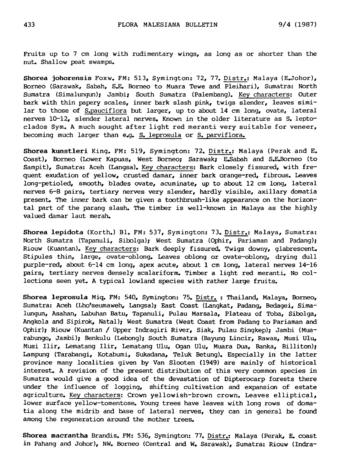Fruits up to <sup>7</sup> cm long with rudimentary wings, as long as or shorter than the nut. Shallow peat swamps.

Shorea johorensis Foxw. FM: 513, Symington: 72, 77. Distr.: Malaya (E.Johor), Borneo (Sarawak, Sabah, S.E. Borneo to Muara Tewe and Pleihari), Sumatra: North Sumatra (Simalungun); Jambi; South Sumatra (Palembang). Key characters: Outer bark with thin papery scales, inner bark slash pink, twigs slender, leaves similar to those of S. pauciflora but larger, up to about 14 cm long, ovate, lateral nerves 10-12, slender lateral nerves. Known in the older literature as S. leptoclados Sym. <sup>A</sup> much sought after light red meranti very suitable for veneer, becoming much larger than e.g. S. leprosula or S. parviflora.

Shorea kunstleri King. FM: 519, Symington: 72. Distr.: Malaya (Perak and E. Coast), Borneo (Lower Kapuas, West Borneo; Sarawak; E.Sabah and S.E.Borneo (to Sampit), Sumatra: Aceh (Langsa). Key characters: Bark closely fissured, with frequent exudation of yellow, crusted damar, inner bark orange-red, fibrous. Leaves long-petioled, smooth, blades ovate, acuminate, up to about <sup>12</sup> cm long, lateral nerves 6-8 pairs, tertiary nerves very slender, hardly visible, axillary domatia present. The inner bark can be given <sup>a</sup> toothbrush-like appearance on the horizontal part of the parang slash. The timber is well-known in Malaya as the highly valued damar laut merah.

Shorea lepidota (Korth.) Bl. FM: 537, Symington: 73. Distr.: Malaya, Sumatra: North Sumatra (Tapanuli, Sibolga); West Sumatra (Ophir, Pariaman and Padang); Riouw (Kuantan). Key characters: Bark deeply fissured. Twigs downy, glabrescent. Stipules thin, large, ovate-oblong. Leaves oblong or ovate-oblong, drying dull purple-red, about 6-14 cm long, apex acute, about <sup>1</sup> cm long, lateral nerves 14-16 pairs, tertiary nerves densely scalariform. Timber <sup>a</sup> light red meranti. No collections seen yet. <sup>A</sup> typical lowland species with rather large fruits.

Shorea leprosula Miq. FM: 540, Symington: 75. Distr. : Thailand, Malaya, Borneo, Sumatra: Aceh (Lho'seumaweh, Langsa); East Coast (Langkat, Padang, Bedagei, Simalungun, Asahan, Labuhan Batu, Tapanuli, Pulau Marsala, Plateau of Toba, Sibolga, Angkola and Sipirok, Natal); West Sumatra (West Coast from Padang to Pariaman and Ophir); Riouw (Kuantan / Upper Indragiri River, Siak, Pulau Singkep); Jambi (Muarabungo, Jambi); Benkulu (Lebong); South Sumatra (Bayung Lincir, Rawas, Musi Ulu, Musi Ilir, Lematang Ilir, Lematang Ulu, Ogan Ulu, Muara Dua, Banka, Billiton); Lampung (Tarabangi, Kotabumi, Sukadana, Teluk Betung). Especially in the latter province many localities given by Van Slooten (1949) are mainly of historical interest. <sup>A</sup> revision of the present distribution of this very common species in Sumatra would give <sup>a</sup> good idea of the devastation of Dipterocarp forests there under the influence of logging, shifting cultivation and expansion of estate agriculture. Key characters: Crown yellowish-brown crown. Leaves elliptical, lower surface yellow-tomentose. Young trees have leaves with long rows of domatia along the midrib and base of lateral nerves, they can in general be found among the regeneration around the mother trees.

Shorea macrantha Brandis. FM: 536, Symington: 77. Distr.: Malaya (Perak, E. coast in Pahang and Johor), NW. Borneo (Central and W. Sarawak), Sumatra: Riouw (Indra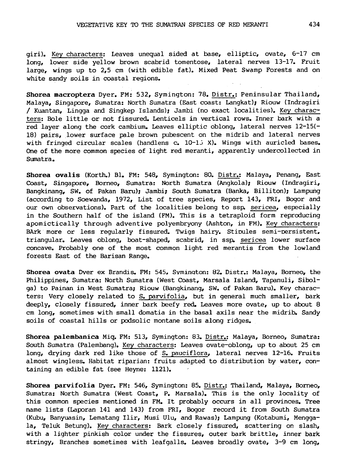giri). Key characters: Leaves unequal sided at base, elliptic, ovate, 6-17 cm long, lower side yellow brown scabrid tomentose, lateral nerves 13-17. Fruit large, wings up to 2,5 cm (with edible fat). Mixed Peat Swamp Forests and on white sandy soils in coastal regions.

Shorea macroptera Dyer. FM: 532, Symington: 78. Distr.: Peninsular Thailand, Malaya, Singapore, Sumatra: North Sumatra (East coast: Langkat); Riouw (Indragiri / Kuantan, Lingga and Singkep Islands); Jambi (no exact localities). Key characters: Bole little or not fissured. Lenticels in vertical rows. Inner bark with <sup>a</sup> red layer along the cork cambium. Leaves elliptic oblong, lateral nerves 12-15(- 18) pairs, lower surface pale brown pubescent on the midrib and lateral nerves with fringed circular scales (handlens  $c_*$  10-15 X). Wings with auricled bases. One of the more common species of light red meranti, apparently undercollected in Sumatra.

Shorea ovalis (Korth.) Bl. FM: 548, Symington: 80. Distr.: Malaya, Penang, East Coast, Singapore, Borneo, Sumatra: North Sumatra (Angkola); Riouw (Indragiri, Bangkinang, SW. of Pakan Baru); Jambi; South Sumatra (Banka, Billiton); Lampung (according to Soewanda, 1972, List of tree species, Report 143, FRI, Bogor and our own observations). Part of the localities belong to ssp. sericea, especially in the Southern half of the island (FM). This is <sup>a</sup> tetraploid form reproducing apomictically through adventive polyembryony (Ashton, in FM). Key characters: BArk more or less regularly fissured. Twigs hairy. Stipules semi-persistent, triangular. Leaves oblong, boat-shaped, scabrid, in ssp. sericea lower surface concave. Probably one of the most common light red merantis from the lowland forests East of the Barisan Range.

Shorea ovata Dyer ex Brandis. PM: 545, Symington: 82. Distr.: Malaya, Borneo, the Philippines, Sumatra: North Sumatra (West Coast, Marsala Island, Tapanuli, Sibolga) to Painan in West Sumatra; Riouw (Bangkinang, SW. of Pakan Baru). Key characters: Very closely related to S. parvifolia, but in general much smaller, bark deeply, closely fissured, inner bark beefy red. Leaves more ovate, up to about <sup>8</sup> cm long, sometimes with small domatia in the basal axils near the midrib. Sandy soils of coastal hills or podsolic montane soils along ridges.

Shorea palembanica Miq. FM: 513, Symington: 83. Distr.: Malaya, Borneo, Sumatra: South Sumatra (Palembang). Key characters: Leaves ovate-oblong, up to about <sup>25</sup> cm long, drying dark red like those of S. pauciflora, lateral nerves 12-16. Fruits almost wingless. Habitat riparian: fruits adapted to distribution by water, containing an edible fat (see Heyne: 1121).

Shorea parvifolia Dyer. FM: 546, Symington: 85. Distr.: Thailand, Malaya, Borneo, Sumatra: North Sumatra (West Coast, P. Marsala). This is the only locality of this common species mentioned in FM. It probably occurs in all provinces. Tree name lists (Laporan <sup>141</sup> and 143) from FRI, Bogor record it from South Sumatra (Kubu, Banyuasin, Lematang Ilir, Musi Ulu, and Rawas); Lampung (Kotabumi, Menggala, Teluk Betung). Key characters: Bark closely fissured, scattering on slash, with <sup>a</sup> lighter pinkish color under the fissures, outer bark brittle, inner bark stringy, Branches sometimes with leafgalls. Leaves broadly ovate, 3-9 cm long,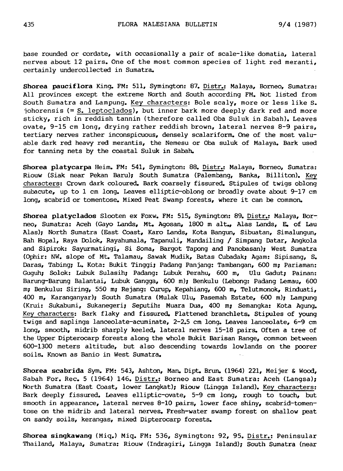base rounded or cordate, with occasionally <sup>a</sup> pair of scale-like domatia, lateral nerves about <sup>12</sup> pairs. One of the most common species of light red meranti, certainly undercollected in Sumatra.

Shorea pauciflora King. FM: 511, Symington: 87. Distr.: Malaya, Borneo, Sumatra: All provinces except the extreme North and South according FM. Not listed from South Sumatra and Lampung. Key characters: Bole scaly, more or less like S. johorensis  $(=\mathsf{S.}\,$  leptoclados), but inner bark more deeply dark red and more sticky, rich in reddish tannin (therefore called Oba Suluk in Sabah). Leaves ovate, 9-15 cm long, drying rather reddish brown, lateral nerves 8-9 pairs, tertiary nerves rather inconspicuous, densely scalariform. One of the most valuable dark red heavy red merantis, the Nemesu or Oba suluk of Malaya. Bark used for tanning nets by the coastal Suluk in Sabah.

Shorea platycarpa Heim. FM: 541, Symington: 88. Distr.: Malaya, Borneo, Sumatra: Riouw (Siak near Pekan Baru); South Sumatra (Palembang, Banka, Billiton). Key characters: Crown dark coloured. Bark coarsely fissured. Stipules of twigs oblong subacute, up to <sup>1</sup> cm long. Leaves elliptic-oblong or broadly ovate about 9-17 cm long, scabrid or tomentose. Mixed Peat Swamp forests, where it can be common.

Shorea platyclados Slooten ex Foxw. FM: 515, Symington: 89. Distr.: Malaya, Borneo, Sumatra: Aceh (Gayo Lands, Mt. Agosan, 1800 <sup>m</sup> alt., Alas Lands, E. of Lau Alas); North Sumatra (East Coast, Karo Lands, Kota Bangun, Sibuatan, Simalungun, Bah Hopal, Raya Dolok, Rayahumala, Tapanuli, Mandailing / Simpang Datar, Angkola and Sipirok: Sayurmatingi, Si Soma, Bargot Tapong and Panobasan); West Sumatra (Ophir: NW. slope of Mt. Talamau, Sawak Mudik, Batas Cubadak; Agam: Sipisang, S. Daras, Tabing; L. Kota: Bukit Tinggi; Padang Panjang: Tambangan, 600 m; Pariaman: Guguh; Solok: Lubuk Sulasih; Padang: Lubuk Perahu, 600 m, Ulu Gadut; Painan: Barung-Barung Balantai, Lubuk Gangga, 600 m); Benkulu (Lebong: Padang Lemau, 600 m; Benkulu: Siring, 550 m; Rejang: Curup, Kepahiang, 600 m, Telutmonok, Rinduati, 400 m, Karanganyar); South Sumatra (Mulak Ulu, Pasemah Estate, 600 m); Lampung (Krui: Sukabumi, Sukanegeri; Seputih: Muara Dua, <sup>400</sup> m; Semangka: Kota Agung. Key characters: Bark flaky and fissured. Flattened branchlets. Stipules of young twigs and saplings lanceolate-acuminate, 2-2.5 cm long. Leaves lanceolate, 6-9 cm long, smooth, midrib sharply keeled, lateral nerves 15-18 pairs. Often <sup>a</sup> tree of the Upper Dipterocarp forests along the whole Bukit Barisan Range, common between 600-1300 meters altitude, but also descending towards lowlands on the poorer soils. Known as Banio in West Sumatra.

Shorea scabrida Sym. FM: 543, Ashton, Man. Dipt. Brun. (1964) 221, Meijer & Wood, Sabah For. Rec. <sup>5</sup> (1964) 146. Distr.: Borneo and East Sumatra: Aceh (Langsa); North Sumatra (East Coast, lower Langkat); Riouw (Lingga Island). Key characters: Bark deeply fissured. Leaves elliptic-ovate, 5-9 cm long, rough to touch, but smooth in appearance, lateral nerves 8-10 pairs, lower face shiny, scabrid-tomentose on the midrib and lateral nerves. Fresh-water swamp forest on shallow peat on sandy soils, kerangas, mixed Dipterocarp forests.

Shorea singkawang (Miq.) Miq. FM: 536, Symington: 92, 95. Distr.: Peninsular Thailand, Malaya, Sumatra: Riouw (Indragiri, Lingga Island); South Sumatra (near